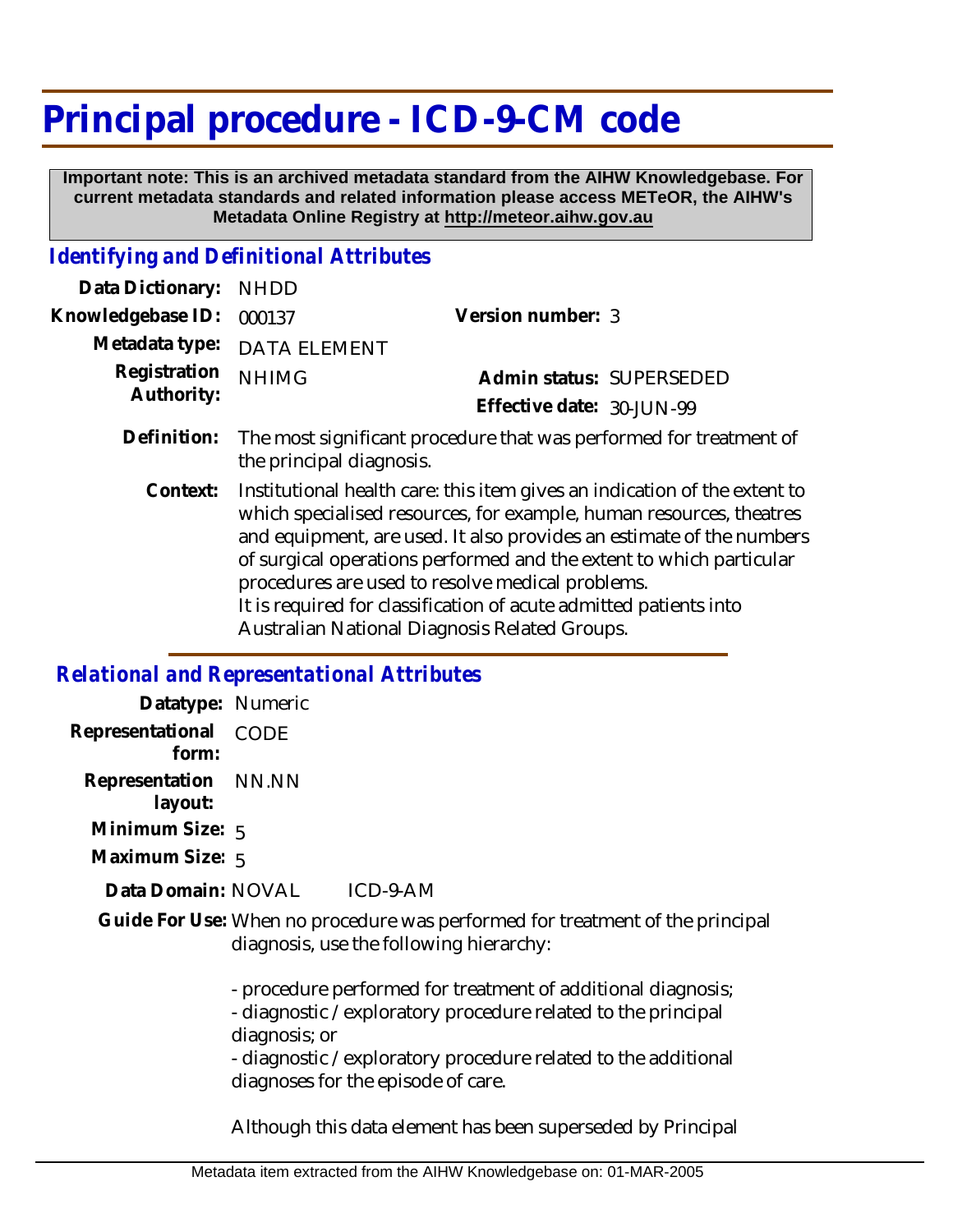# **Principal procedure - ICD-9-CM code**

 **Important note: This is an archived metadata standard from the AIHW Knowledgebase. For current metadata standards and related information please access METeOR, the AIHW's Metadata Online Registry at http://meteor.aihw.gov.au**

#### *Identifying and Definitional Attributes*

| Data Dictionary:           | <b>NHDD</b>                                                                                                                                                                                                                                                                                                                                                                                                              |                           |                          |
|----------------------------|--------------------------------------------------------------------------------------------------------------------------------------------------------------------------------------------------------------------------------------------------------------------------------------------------------------------------------------------------------------------------------------------------------------------------|---------------------------|--------------------------|
| Knowledgebase ID:          | 000137                                                                                                                                                                                                                                                                                                                                                                                                                   | Version number: 3         |                          |
| Metadata type:             | <b>DATA ELEMENT</b>                                                                                                                                                                                                                                                                                                                                                                                                      |                           |                          |
| Registration<br>Authority: | <b>NHIMG</b>                                                                                                                                                                                                                                                                                                                                                                                                             |                           | Admin status: SUPERSEDED |
|                            |                                                                                                                                                                                                                                                                                                                                                                                                                          | Effective date: 30-JUN-99 |                          |
| Definition:                | The most significant procedure that was performed for treatment of<br>the principal diagnosis.                                                                                                                                                                                                                                                                                                                           |                           |                          |
| Context:                   | Institutional health care: this item gives an indication of the extent to<br>which specialised resources, for example, human resources, theatres<br>and equipment, are used. It also provides an estimate of the numbers<br>of surgical operations performed and the extent to which particular<br>procedures are used to resolve medical problems.<br>It is required for classification of acute admitted patients into |                           |                          |

Australian National Diagnosis Related Groups.

### *Relational and Representational Attributes*

| Datatype: Numeric               |                                                                                                                                                |
|---------------------------------|------------------------------------------------------------------------------------------------------------------------------------------------|
| Representational<br>form:       | CODE                                                                                                                                           |
| Representation NN.NN<br>layout: |                                                                                                                                                |
| Minimum Size: $5$               |                                                                                                                                                |
| Maximum Size: 5                 |                                                                                                                                                |
| Data Domain: NOVAL              | ICD-9-AM                                                                                                                                       |
|                                 | Guide For Use: When no procedure was performed for treatment of the principal<br>diagnosis, use the following hierarchy:                       |
|                                 | - procedure performed for treatment of additional diagnosis;<br>- diagnostic / exploratory procedure related to the principal<br>diagnosis; or |

- diagnostic /exploratory procedure related to the additional diagnoses for the episode of care.

Although this data element has been superseded by Principal